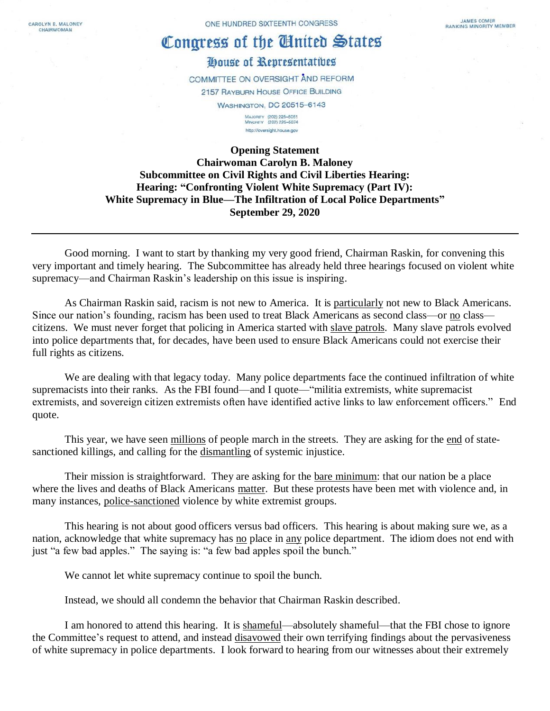CAROLYN B. MALONEY CHAIRWOMAN

## Congress of the United States

## House of Representatives

COMMITTEE ON OVERSIGHT AND REFORM 2157 RAYBURN HOUSE OFFICE BUILDING **WASHINGTON, DC 20515-6143** 

> MAJORITY (202) 225-5051<br>MINORITY (202) 225-5074 http://oversight.house.gov

## **Opening Statement Chairwoman Carolyn B. Maloney Subcommittee on Civil Rights and Civil Liberties Hearing: Hearing: "Confronting Violent White Supremacy (Part IV): White Supremacy in Blue—The Infiltration of Local Police Departments" September 29, 2020**

Good morning. I want to start by thanking my very good friend, Chairman Raskin, for convening this very important and timely hearing. The Subcommittee has already held three hearings focused on violent white supremacy—and Chairman Raskin's leadership on this issue is inspiring.

As Chairman Raskin said, racism is not new to America. It is particularly not new to Black Americans. Since our nation's founding, racism has been used to treat Black Americans as second class—or no class citizens. We must never forget that policing in America started with slave patrols. Many slave patrols evolved into police departments that, for decades, have been used to ensure Black Americans could not exercise their full rights as citizens.

We are dealing with that legacy today. Many police departments face the continued infiltration of white supremacists into their ranks. As the FBI found—and I quote—"militia extremists, white supremacist extremists, and sovereign citizen extremists often have identified active links to law enforcement officers." End quote.

This year, we have seen millions of people march in the streets. They are asking for the end of statesanctioned killings, and calling for the dismantling of systemic injustice.

Their mission is straightforward. They are asking for the bare minimum: that our nation be a place where the lives and deaths of Black Americans matter. But these protests have been met with violence and, in many instances, police-sanctioned violence by white extremist groups.

This hearing is not about good officers versus bad officers. This hearing is about making sure we, as a nation, acknowledge that white supremacy has no place in any police department. The idiom does not end with just "a few bad apples." The saying is: "a few bad apples spoil the bunch."

We cannot let white supremacy continue to spoil the bunch.

Instead, we should all condemn the behavior that Chairman Raskin described.

I am honored to attend this hearing. It is shameful—absolutely shameful—that the FBI chose to ignore the Committee's request to attend, and instead disavowed their own terrifying findings about the pervasiveness of white supremacy in police departments. I look forward to hearing from our witnesses about their extremely